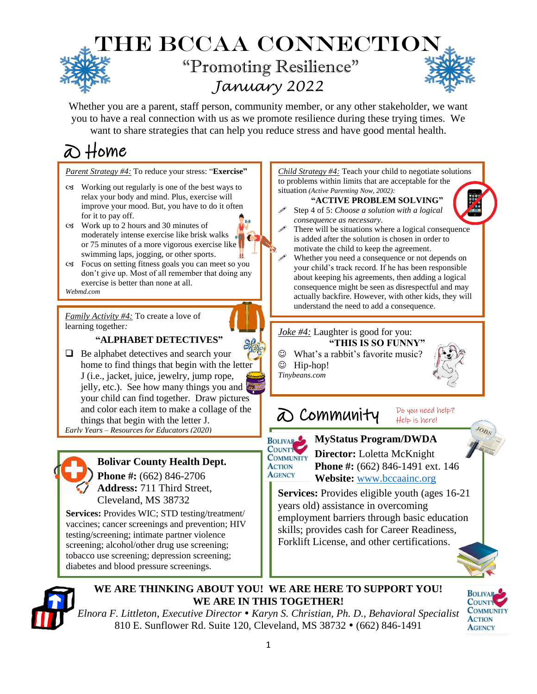## **THE BCCAA CONNECTIO** "Promoting Resilience" *January 2022*

Whether you are a parent, staff person, community member, or any other stakeholder, we want you to have a real connection with us as we promote resilience during these trying times. We want to share strategies that can help you reduce stress and have good mental health.

# @ Home

*Parent Strategy #4:* To reduce your stress: "**Exercise"**

- Working out regularly is one of the best ways to relax your body and mind. Plus, exercise will improve your mood. But, you have to do it often for it to pay off.
- Work up to 2 hours and 30 minutes of moderately intense exercise like brisk walks or 75 minutes of a more vigorous exercise like swimming laps, jogging, or other sports.
- Focus on setting fitness goals you can meet so you don't give up. Most of all remember that doing any exercise is better than none at all. *Webmd.com*

*Family Activity #4:* To create a love of learning together*:*

#### **"ALPHABET DETECTIVES"**

❑ Be alphabet detectives and search your home to find things that begin with the letter J (i.e., jacket, juice, jewelry, jump rope, jelly, etc.). See how many things you and your child can find together. Draw pictures and color each item to make a collage of the things that begin with the letter J.

*Early Years – Resources for Educators (2020)*



### **Bolivar County Health Dept.**

**Phone #:** (662) 846-2706 **Address:** 711 Third Street, Cleveland, MS 38732

Services: Provides WIC; STD testing/treatment/ vaccines; cancer screenings and prevention;<br>testing/screening; intimate partner violence vaccines; cancer screenings and prevention; HIV screening; alcohol/other drug use screening; tobacco use screening; depression screening; diabetes and blood pressure screenings.



#### **"ACTIVE PROBLEM SOLVING"**

- Step 4 of 5: *Choose a solution with a logical consequence as necessary.*
- There will be situations where a logical consequence is added after the solution is chosen in order to motivate the child to keep the agreement.
- Whether you need a consequence or not depends on your child's track record. If he has been responsible about keeping his agreements, then adding a logical consequence might be seen as disrespectful and may actually backfire. However, with other kids, they will understand the need to add a consequence.

#### *Joke #4:* Laughter is good for you:

- **"THIS IS SO FUNNY"** ☺ What's a rabbit's favorite music?
- ☺ Hip-hop!
- *Tinybeans.com*



Do you need help?

#### @ Community Help is here!



**BOLIVAR MyStatus Program/DWDA COMMUNITY Director:** Loletta McKnight **Phone #:** (662) 846-1491 ext. 146  **Website:** [www.bccaainc.org](http://www.bccaainc.org/)

**Services:** Provides eligible youth (ages 16-21) years old) assistance in overcoming employment barriers through basic education skills; provides cash for Career Readiness, Forklift License, and other certifications.



#### **WE ARE THINKING ABOUT YOU! WE ARE HERE TO SUPPORT YOU! WE ARE IN THIS TOGETHER!**

*Elnora F. Littleton, Executive Director Karyn S. Christian, Ph. D., Behavioral Specialist* 810 E. Sunflower Rd. Suite 120, Cleveland, MS 38732 • (662) 846-1491



JOBS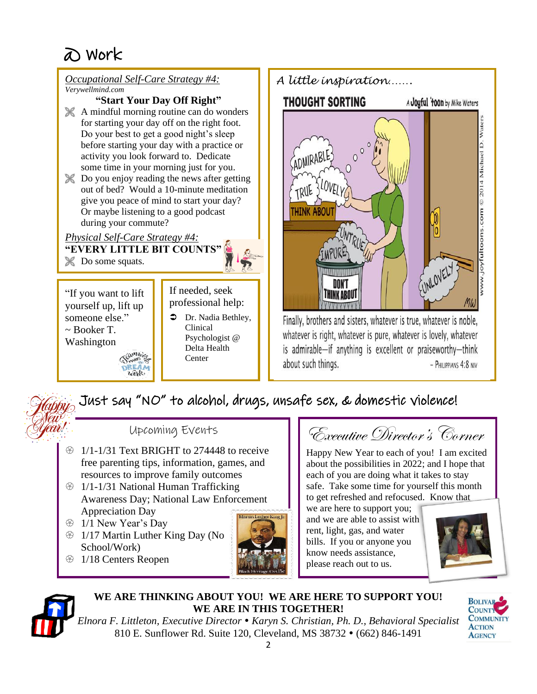

## Just say "NO" to alcohol, drugs, unsafe sex, & domestic violence!

### Upcoming Events

- $\circ$  1/1-1/31 Text BRIGHT to 274448 to receive free parenting tips, information, games, and resources to improve family outcomes
- **1/1-1/31 National Human Trafficking** Awareness Day; National Law Enforcement Appreciation Day
- <sup>43</sup> 1/1 New Year's Day
- $\circ$  1/17 Martin Luther King Day (No School/Work)
- **1/18 Centers Reopen**



Executive Director's Corner

Happy New Year to each of you! I am excited about the possibilities in 2022; and I hope that each of you are doing what it takes to stay safe. Take some time for yourself this month to get refreshed and refocused. Know that

we are here to support you; and we are able to assist with rent, light, gas, and water bills. If you or anyone you know needs assistance, please reach out to us.





#### **WE ARE THINKING ABOUT YOU! WE ARE HERE TO SUPPORT YOU! WE ARE IN THIS TOGETHER!**



*Elnora F. Littleton, Executive Director Karyn S. Christian, Ph. D., Behavioral Specialist* 810 E. Sunflower Rd. Suite 120, Cleveland, MS 38732 • (662) 846-1491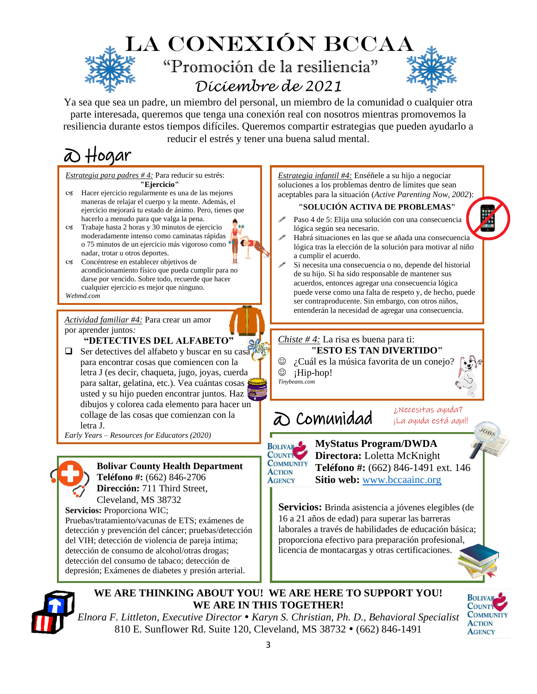

Ya sea que sea un padre, un miembro del personal, un miembro de la comunidad o cualquier otra parte interesada, queremos que tenga una conexión real con nosotros mientras promovemos la resiliencia durante estos tiempos difíciles. Queremos compartir estrategias que pueden ayudarlo a reducir el estrés y tener una buena salud mental.

ю

# @ Hogar

*Estrategia para padres # 4:* Para reducir su estrés: **"Ejercicio"**

- Hacer ejercicio regularmente es una de las mejores maneras de relajar el cuerpo y la mente. Además, el ejercicio mejorará tu estado de ánimo. Pero, tienes que hacerlo a menudo para que valga la pena.
- Trabaje hasta 2 horas y 30 minutos de ejercicio moderadamente intenso como caminatas rápidas o 75 minutos de un ejercicio más vigoroso como nadar, trotar u otros deportes.
- Concéntrese en establecer objetivos de acondicionamiento físico que pueda cumplir para no darse por vencido. Sobre todo, recuerde que hacer cualquier ejercicio es mejor que ninguno.
- *Webmd.com*

*Actividad familiar #4:* Para crear un amor por aprender juntos*:*

**"DETECTIVES DEL ALFABETO"**

❑ Ser detectives del alfabeto y buscar en su casa para encontrar cosas que comiencen con la letra J (es decir, chaqueta, jugo, joyas, cuerda para saltar, gelatina, etc.). Vea cuántas cosas usted y su hijo pueden encontrar juntos. Haz dibujos y colorea cada elemento para hacer un collage de las cosas que comienzan con la letra J.

*Early Years – Resources for Educators (2020)*



#### **Bolivar County Health Department Teléfono #:** (662) 846-2706

**Dirección:** 711 Third Street, Cleveland, MS 38732

. Pruebas/tratamiento/vacunas de ETS; exámenes de . detección y prevención del cáncer; pruebas/detección **Servicios:** Proporciona WIC; del VIH; detección de violencia de pareja íntima; detección de consumo de alcohol/otras drogas; detección del consumo de tabaco; detección de depresión; Exámenes de diabetes y presión arterial.

*Estrategia infantil #4:* Enséñele a su hijo a negociar soluciones a los problemas dentro de límites que sean aceptables para la situación (*Active Parenting Now, 2002*):

#### **"SOLUCIÓN ACTIVA DE PROBLEMAS"**

- Paso 4 de 5: Elija una solución con una consecuencia lógica según sea necesario.
- Habrá situaciones en las que se añada una consecuencia lógica tras la elección de la solución para motivar al niño a cumplir el acuerdo.
- Si necesita una consecuencia o no, depende del historial de su hijo. Si ha sido responsable de mantener sus acuerdos, entonces agregar una consecuencia lógica puede verse como una falta de respeto y, de hecho, puede ser contraproducente. Sin embargo, con otros niños, entenderán la necesidad de agregar una consecuencia.

#### *Chiste # 4:* La risa es buena para ti: **"ESTO ES TAN DIVERTIDO"**

© ¿Cuál es la música favorita de un conejo?

 $\circledcirc$  ¡Hip-hop! *Tinybeans.com*

## @ Comunidad

¿Necesitas ayuda? ¡La ayuda está aquí!

**BOLIVAR** COUNTY **COMMUNITY ACTION AGENCY** 

 **MyStatus Program/DWDA Directora:** Loletta McKnight  **Teléfono #:** (662) 846-1491 ext. 146  **Sitio web:** [www.bccaainc.org](http://www.bccaainc.org/)

**Servicios:** Brinda asistencia a jóvenes elegibles (de 16 a 21 años de edad) para superar las barreras laborales a través de habilidades de educación básica; proporciona efectivo para preparación profesional, licencia de montacargas y otras certificaciones.

**WE ARE THINKING ABOUT YOU! WE ARE HERE TO SUPPORT YOU! WE ARE IN THIS TOGETHER!**



JOBS

*Elnora F. Littleton, Executive Director Karyn S. Christian, Ph. D., Behavioral Specialist* 810 E. Sunflower Rd. Suite 120, Cleveland, MS 38732 • (662) 846-1491